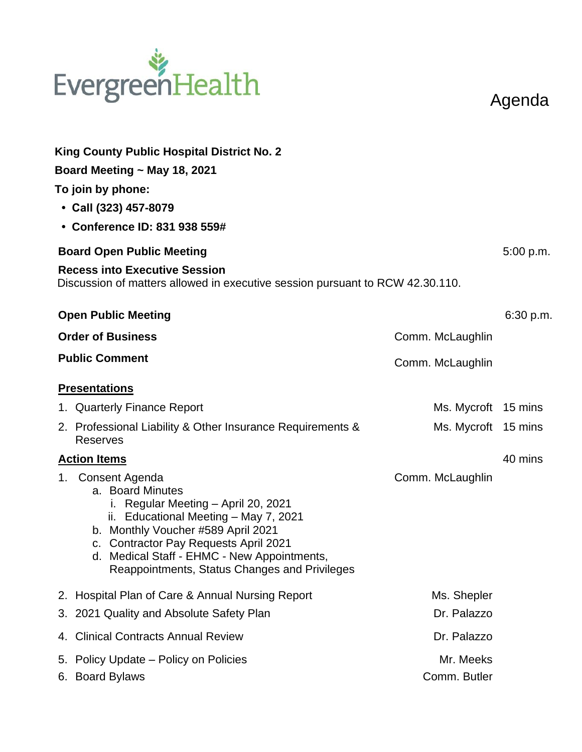## EvergreenHealth

Agenda

|                          | <b>King County Public Hospital District No. 2</b><br>Board Meeting $\sim$ May 18, 2021<br>To join by phone:<br>• Call (323) 457-8079<br>• Conference ID: 831 938 559#                                                                                                                                |                           |           |
|--------------------------|------------------------------------------------------------------------------------------------------------------------------------------------------------------------------------------------------------------------------------------------------------------------------------------------------|---------------------------|-----------|
|                          | <b>Board Open Public Meeting</b>                                                                                                                                                                                                                                                                     |                           |           |
|                          | <b>Recess into Executive Session</b><br>Discussion of matters allowed in executive session pursuant to RCW 42.30.110.                                                                                                                                                                                |                           |           |
|                          | <b>Open Public Meeting</b>                                                                                                                                                                                                                                                                           |                           | 6:30 p.m. |
| <b>Order of Business</b> |                                                                                                                                                                                                                                                                                                      | Comm. McLaughlin          |           |
|                          | <b>Public Comment</b>                                                                                                                                                                                                                                                                                | Comm. McLaughlin          |           |
|                          | <b>Presentations</b>                                                                                                                                                                                                                                                                                 |                           |           |
|                          | 1. Quarterly Finance Report                                                                                                                                                                                                                                                                          | Ms. Mycroft 15 mins       |           |
|                          | 2. Professional Liability & Other Insurance Requirements &<br><b>Reserves</b>                                                                                                                                                                                                                        | Ms. Mycroft 15 mins       |           |
|                          | <b>Action Items</b>                                                                                                                                                                                                                                                                                  |                           | 40 mins   |
|                          | 1. Consent Agenda<br>a. Board Minutes<br>i. Regular Meeting - April 20, 2021<br>ii. Educational Meeting - May 7, 2021<br>b. Monthly Voucher #589 April 2021<br>c. Contractor Pay Requests April 2021<br>d. Medical Staff - EHMC - New Appointments,<br>Reappointments, Status Changes and Privileges | Comm. McLaughlin          |           |
|                          | 2. Hospital Plan of Care & Annual Nursing Report                                                                                                                                                                                                                                                     | Ms. Shepler               |           |
|                          | 3. 2021 Quality and Absolute Safety Plan                                                                                                                                                                                                                                                             | Dr. Palazzo               |           |
| 4.                       | <b>Clinical Contracts Annual Review</b>                                                                                                                                                                                                                                                              | Dr. Palazzo               |           |
| 5.<br>6.                 | Policy Update – Policy on Policies<br><b>Board Bylaws</b>                                                                                                                                                                                                                                            | Mr. Meeks<br>Comm. Butler |           |